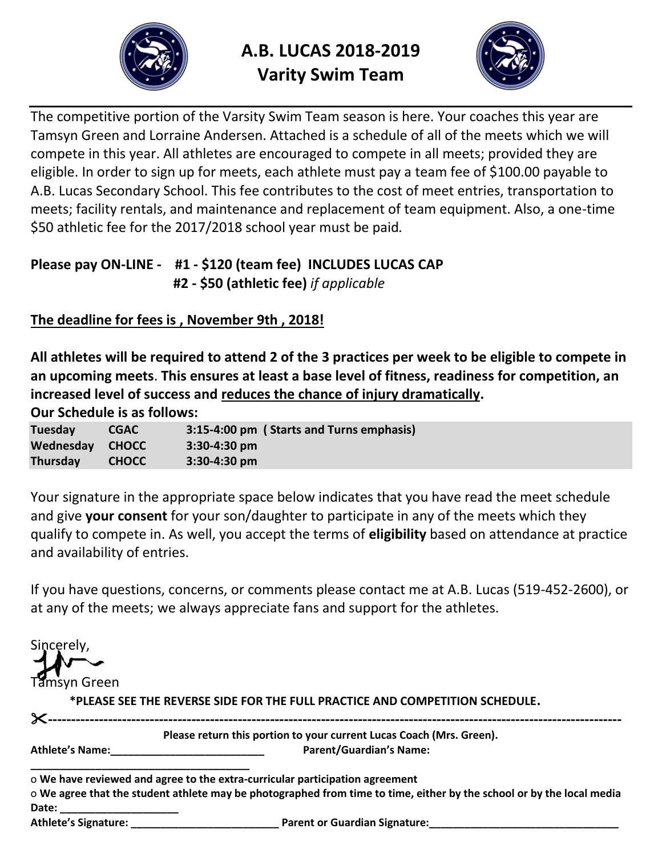

**A.B. LUCAS 2018-2019 Varity Swim Team** 



The competitive portion of the Varsity Swim Team season is here. Your coaches this year are Tamsyn Green and Lorraine Andersen. Attached is a schedule of all of the meets which we will compete in this year. All athletes are encouraged to compete in all meets; provided they are eligible. In order to sign up for meets, each athlete must pay a team fee of \$100.00 payable to A.B. Lucas Secondary School. This fee contributes to the cost of meet entries, transportation to meets; facility rentals, and maintenance and replacement of team equipment. Also, a one-time \$50 athletic fee for the 2017/2018 school year must be paid*.* 

## **Please pay ON-LINE - #1 - \$120 (team fee) INCLUDES LUCAS CAP #2 - \$50 (athletic fee)** *if applicable*

## **The deadline for fees is , November 9th , 2018!**

**All athletes will be required to attend 2 of the 3 practices per week to be eligible to compete in an upcoming meets**. **This ensures at least a base level of fitness, readiness for competition, an increased level of success and reduces the chance of injury dramatically.**

**Our Schedule is as follows:**

| <b>Tuesday</b>  | <b>CGAC</b>  | 3:15-4:00 pm (Starts and Turns emphasis) |
|-----------------|--------------|------------------------------------------|
| Wednesday CHOCC |              | $3:30-4:30$ pm                           |
| Thursday        | <b>CHOCC</b> | $3:30-4:30$ pm                           |

Your signature in the appropriate space below indicates that you have read the meet schedule and give **your consent** for your son/daughter to participate in any of the meets which they qualify to compete in. As well, you accept the terms of **eligibility** based on attendance at practice and availability of entries.

If you have questions, concerns, or comments please contact me at A.B. Lucas (519-452-2600), or at any of the meets; we always appreciate fans and support for the athletes.

| Sincerely,             |                                                                                                                       |
|------------------------|-----------------------------------------------------------------------------------------------------------------------|
|                        |                                                                                                                       |
| Tamsyn Green           |                                                                                                                       |
|                        | *PLEASE SEE THE REVERSE SIDE FOR THE FULL PRACTICE AND COMPETITION SCHEDULE.                                          |
| $\times$ .             |                                                                                                                       |
|                        | Please return this portion to your current Lucas Coach (Mrs. Green).                                                  |
| <b>Athlete's Name:</b> | <b>Parent/Guardian's Name:</b>                                                                                        |
|                        | o We have reviewed and agree to the extra-curricular participation agreement                                          |
|                        | o We agree that the student athlete may be photographed from time to time, either by the school or by the local media |
| Date:                  |                                                                                                                       |
|                        |                                                                                                                       |
|                        |                                                                                                                       |